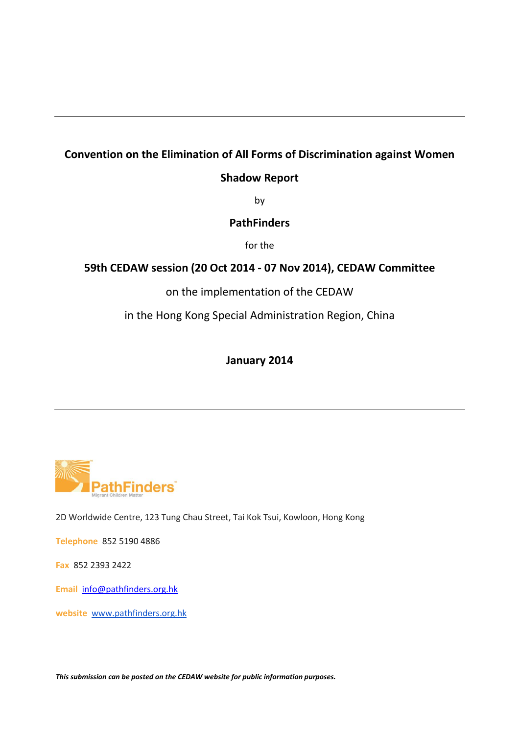# **Convention on the Elimination of All Forms of Discrimination against Women**

## **Shadow Report**

by

# **PathFinders**

for the

# **59th CEDAW session (20 Oct 2014 - 07 Nov 2014), CEDAW Committee**

on the implementation of the CEDAW

in the Hong Kong Special Administration Region, China

**January 2014**



2D Worldwide Centre, 123 Tung Chau Street, Tai Kok Tsui, Kowloon, Hong Kong

**Telephone** 852 5190 4886

**Fax** 852 2393 2422

**Email** [info@pathfinders.org.hk](mailto:info@pathfinders.org.hk) 

**website** [www.pathfinders.org.hk](http://www.pathfinders.org.hk/)

*This submission can be posted on the CEDAW website for public information purposes.*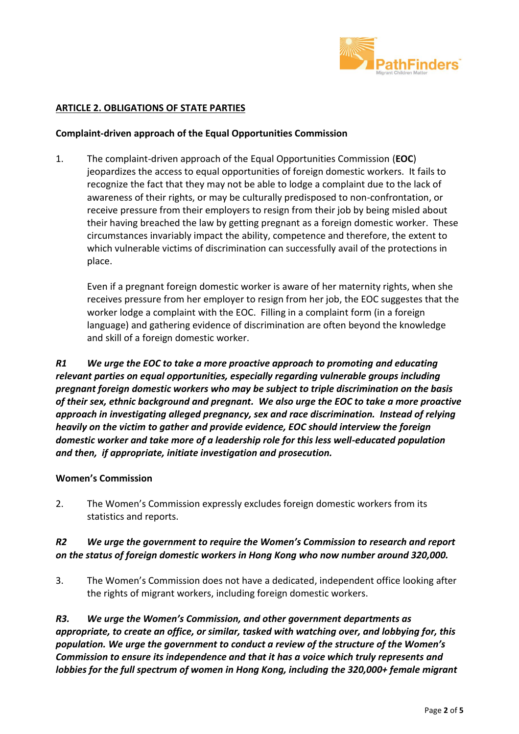

## **ARTICLE 2. OBLIGATIONS OF STATE PARTIES**

#### **Complaint-driven approach of the Equal Opportunities Commission**

1. The complaint-driven approach of the Equal Opportunities Commission (**EOC**) jeopardizes the access to equal opportunities of foreign domestic workers. It fails to recognize the fact that they may not be able to lodge a complaint due to the lack of awareness of their rights, or may be culturally predisposed to non-confrontation, or receive pressure from their employers to resign from their job by being misled about their having breached the law by getting pregnant as a foreign domestic worker. These circumstances invariably impact the ability, competence and therefore, the extent to which vulnerable victims of discrimination can successfully avail of the protections in place.

Even if a pregnant foreign domestic worker is aware of her maternity rights, when she receives pressure from her employer to resign from her job, the EOC suggestes that the worker lodge a complaint with the EOC. Filling in a complaint form (in a foreign language) and gathering evidence of discrimination are often beyond the knowledge and skill of a foreign domestic worker.

*R1 We urge the EOC to take a more proactive approach to promoting and educating relevant parties on equal opportunities, especially regarding vulnerable groups including pregnant foreign domestic workers who may be subject to triple discrimination on the basis of their sex, ethnic background and pregnant. We also urge the EOC to take a more proactive approach in investigating alleged pregnancy, sex and race discrimination. Instead of relying heavily on the victim to gather and provide evidence, EOC should interview the foreign domestic worker and take more of a leadership role for this less well-educated population and then, if appropriate, initiate investigation and prosecution.* 

#### **Women's Commission**

2. The Women's Commission expressly excludes foreign domestic workers from its statistics and reports.

## *R2 We urge the government to require the Women's Commission to research and report on the status of foreign domestic workers in Hong Kong who now number around 320,000.*

3. The Women's Commission does not have a dedicated, independent office looking after the rights of migrant workers, including foreign domestic workers.

*R3. We urge the Women's Commission, and other government departments as appropriate, to create an office, or similar, tasked with watching over, and lobbying for, this population. We urge the government to conduct a review of the structure of the Women's Commission to ensure its independence and that it has a voice which truly represents and lobbies for the full spectrum of women in Hong Kong, including the 320,000+ female migrant*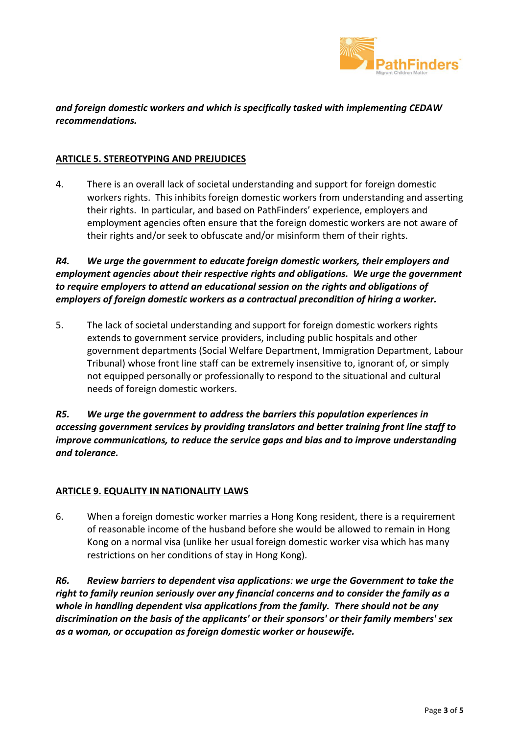

## *and foreign domestic workers and which is specifically tasked with implementing CEDAW recommendations.*

## **ARTICLE 5. STEREOTYPING AND PREJUDICES**

4. There is an overall lack of societal understanding and support for foreign domestic workers rights. This inhibits foreign domestic workers from understanding and asserting their rights. In particular, and based on PathFinders' experience, employers and employment agencies often ensure that the foreign domestic workers are not aware of their rights and/or seek to obfuscate and/or misinform them of their rights.

*R4. We urge the government to educate foreign domestic workers, their employers and employment agencies about their respective rights and obligations. We urge the government to require employers to attend an educational session on the rights and obligations of employers of foreign domestic workers as a contractual precondition of hiring a worker.*

5. The lack of societal understanding and support for foreign domestic workers rights extends to government service providers, including public hospitals and other government departments (Social Welfare Department, Immigration Department, Labour Tribunal) whose front line staff can be extremely insensitive to, ignorant of, or simply not equipped personally or professionally to respond to the situational and cultural needs of foreign domestic workers.

*R5. We urge the government to address the barriers this population experiences in accessing government services by providing translators and better training front line staff to improve communications, to reduce the service gaps and bias and to improve understanding and tolerance.* 

#### **ARTICLE 9. EQUALITY IN NATIONALITY LAWS**

6. When a foreign domestic worker marries a Hong Kong resident, there is a requirement of reasonable income of the husband before she would be allowed to remain in Hong Kong on a normal visa (unlike her usual foreign domestic worker visa which has many restrictions on her conditions of stay in Hong Kong).

*R6. Review barriers to dependent visa applications: we urge the Government to take the right to family reunion seriously over any financial concerns and to consider the family as a whole in handling dependent visa applications from the family. There should not be any discrimination on the basis of the applicants' or their sponsors' or their family members' sex as a woman, or occupation as foreign domestic worker or housewife.*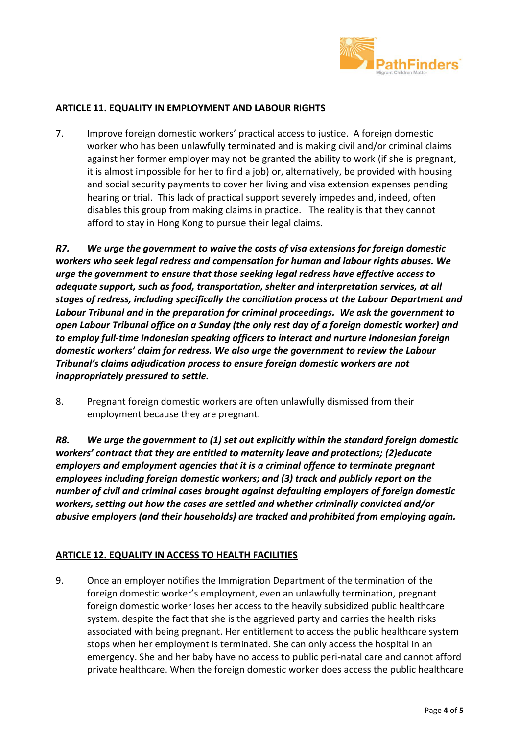

#### **ARTICLE 11. EQUALITY IN EMPLOYMENT AND LABOUR RIGHTS**

7. Improve foreign domestic workers' practical access to justice. A foreign domestic worker who has been unlawfully terminated and is making civil and/or criminal claims against her former employer may not be granted the ability to work (if she is pregnant, it is almost impossible for her to find a job) or, alternatively, be provided with housing and social security payments to cover her living and visa extension expenses pending hearing or trial. This lack of practical support severely impedes and, indeed, often disables this group from making claims in practice. The reality is that they cannot afford to stay in Hong Kong to pursue their legal claims.

*R7. We urge the government to waive the costs of visa extensions for foreign domestic workers who seek legal redress and compensation for human and labour rights abuses. We urge the government to ensure that those seeking legal redress have effective access to adequate support, such as food, transportation, shelter and interpretation services, at all stages of redress, including specifically the conciliation process at the Labour Department and Labour Tribunal and in the preparation for criminal proceedings. We ask the government to open Labour Tribunal office on a Sunday (the only rest day of a foreign domestic worker) and to employ full-time Indonesian speaking officers to interact and nurture Indonesian foreign domestic workers' claim for redress. We also urge the government to review the Labour Tribunal's claims adjudication process to ensure foreign domestic workers are not inappropriately pressured to settle.* 

8. Pregnant foreign domestic workers are often unlawfully dismissed from their employment because they are pregnant.

*R8. We urge the government to (1) set out explicitly within the standard foreign domestic workers' contract that they are entitled to maternity leave and protections; (2)educate employers and employment agencies that it is a criminal offence to terminate pregnant employees including foreign domestic workers; and (3) track and publicly report on the number of civil and criminal cases brought against defaulting employers of foreign domestic workers, setting out how the cases are settled and whether criminally convicted and/or abusive employers (and their households) are tracked and prohibited from employing again.*

## **ARTICLE 12. EQUALITY IN ACCESS TO HEALTH FACILITIES**

9. Once an employer notifies the Immigration Department of the termination of the foreign domestic worker's employment, even an unlawfully termination, pregnant foreign domestic worker loses her access to the heavily subsidized public healthcare system, despite the fact that she is the aggrieved party and carries the health risks associated with being pregnant. Her entitlement to access the public healthcare system stops when her employment is terminated. She can only access the hospital in an emergency. She and her baby have no access to public peri-natal care and cannot afford private healthcare. When the foreign domestic worker does access the public healthcare